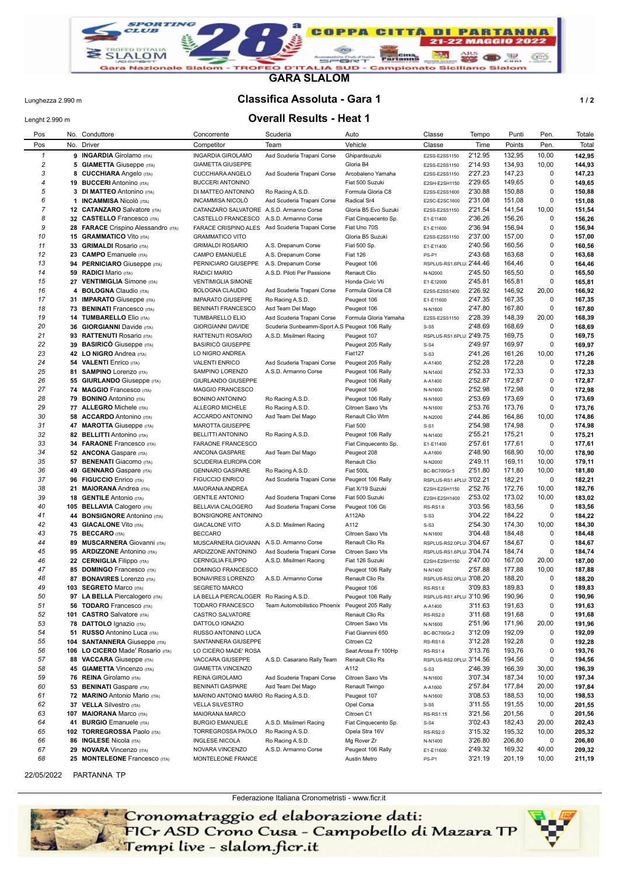

**GARA SLALOM**

#### Lunghezza 2.990 m **Classifica Assoluta - Gara 1 1 / 2**

# Lenght 2.990 m **Overall Results - Heat 1**

| Pos          |     | No. Conduttore                                                 | Concorrente                                   | Scuderia                                       | Auto                               | Classe                                     | Tempo              | Punti            | Pen.       | Totale           |
|--------------|-----|----------------------------------------------------------------|-----------------------------------------------|------------------------------------------------|------------------------------------|--------------------------------------------|--------------------|------------------|------------|------------------|
| Pos          | No. | Driver                                                         | Competitor                                    | Team                                           | Vehicle                            | Classe                                     | Time               | Points           | Pen.       | Total            |
| $\mathbf{1}$ |     | 9 INGARDIA Girolamo (ITA)                                      | <b>INGARDIA GIROLAMO</b>                      | Asd Scuderia Trapani Corse                     | Ghipardsuzuki                      | E2SS-E2SS1150                              | 2'12.95            | 132,95           | 10,00      | 142,95           |
| 2            |     | <b>5 GIAMETTA Giuseppe (ITA)</b>                               | <b>GIAMETTA GIUSEPPE</b>                      |                                                | Gloria B4                          | E2SS-E2SS1150                              | 2'14.93            | 134,93           | 10,00      | 144,93           |
| 3            |     | 8 CUCCHIARA Angelo (ITA)                                       | CUCCHIARA ANGELO                              | Asd Scuderia Trapani Corse                     | Arcobaleno Yamaha                  | E2SS-E2SS1150                              | 2'27.23            | 147,23           | 0          | 147,23           |
| 4            |     | 19 BUCCERI Antonino (ITA)                                      | <b>BUCCERI ANTONINO</b>                       |                                                | Fiat 500 Suzuki                    | E2SH-E2SH1150                              | 2'29.65            | 149,65           | 0          | 149,65           |
| 5            |     | 3 DI MATTEO Antonino (ITA)                                     | DI MATTEO ANTONINO                            | Ro Racing A.S.D.                               | Formula Gloria C8                  | E2SS-E2SS1600                              | 2'30.88            | 150,88           | 0          | 150,88           |
| 6            |     | 1 <b>INCAMMISA</b> Nicolò (ITA)                                | <b>INCAMMISA NICOLO</b>                       | Asd Scuderia Trapani Corse                     | Radical Sr4                        | E2SC-E2SC1600                              | 2'31.08            | 151,08           | 0          | 151,08           |
| 7            |     | 12 CATANZARO Salvatore (ITA)                                   | CATANZARO SALVATORE A.S.D. Armanno Corse      |                                                | Gloria B5 Evo Suzuki               | E2SS-E2SS1150                              | 2'21.54            | 141,54           | 10,00      | 151,54           |
| 8            |     | 32 CASTELLO Francesco (ITA)                                    | CASTELLO FRANCESCO                            | A.S.D. Armanno Corse                           | Fiat Cinquecento Sp.               | E1-E11400                                  | 2'36.26            | 156,26           | 0          | 156,26           |
| 9            |     | 28 FARACE Crispino Alessandro (ITA)                            | <b>FARACE CRISPINO ALES</b>                   | Asd Scuderia Trapani Corse                     | Fiat Uno 70S                       | E1-E11600                                  | 2'36.94            | 156,94           | 0          | 156,94           |
| 10           |     | <b>15 GRAMMATICO Vito (ITA)</b>                                | <b>GRAMMATICO VITO</b>                        |                                                | Gloria B5 Suzuki                   | E2SS-E2SS1150                              | 2'37.00            | 157,00           | 0          | 157,00           |
| 11           |     | 33 GRIMALDI Rosario (ITA)                                      | <b>GRIMALDI ROSARIO</b>                       | A.S. Drepanum Corse                            | Fiat 500 Sp.                       | E1-E11400                                  | 2'40.56            | 160,56           | 0          | 160,56           |
| 12           |     | 23 CAMPO Emanuele (ITA)                                        | CAMPO EMANUELE                                | A.S. Drepanum Corse                            | <b>Fiat 126</b>                    | PS-P1                                      | 2'43.68            | 163,68           | 0          | 163,68           |
| 13           |     | 94 PERNICIARO Giuseppe (ITA)                                   | PERNICIARO GIUSEPPE                           | A.S. Drepanum Corse                            | Peugeot 106                        | RSPLUS-RS1.6PLU 2'44.46                    |                    | 164,46           | 0          | 164,46           |
| 14           |     | 59 RADICI Mario (ITA)                                          | <b>RADICI MARIO</b>                           | A.S.D. Piloti Per Passione                     | Renault Clio                       | N-N2000                                    | 2'45.50            | 165,50           | 0          | 165,50           |
| 15           |     | 27 VENTIMIGLIA Simone (ITA)                                    | <b>VENTIMIGLIA SIMONE</b>                     |                                                | Honda Civic Vti                    | E1-E12000                                  | 2'45.81            | 165,81           | 0          | 165,81           |
| 16           |     | 4 BOLOGNA Claudio (ITA)                                        | BOLOGNA CLAUDIO                               | Asd Scuderia Trapani Corse                     | Formula Gloria C8                  | E2SS-E2SS1400                              | 2'26.92            | 146,92           | 20,00      | 166,92           |
| 17           |     | 31 IMPARATO Giuseppe (ITA)                                     | <b>IMPARATO GIUSEPPE</b>                      | Ro Racing A.S.D.                               | Peugeot 106                        | E1-E11600                                  | 2'47.35            | 167,35           | 0          | 167,35           |
| 18           |     | 73 BENINATI Francesco (ITA)                                    | <b>BENINATI FRANCESCO</b>                     | Asd Team Del Mago                              | Peugeot 106                        | N-N1600                                    | 2'47.80            | 167,80           | 0          | 167,80           |
| 19           |     | 14 TUMBARELLO Elio (ITA)                                       | <b>TUMBARELLO ELIO</b>                        | Asd Scuderia Trapani Corse                     | Formula Gloria Yamaha              | E2SS-E2SS1150                              | 2'28.39<br>2'48.69 | 148,39           | 20,00<br>0 | 168,39           |
| 20<br>21     |     | 36 GIORGIANNI Davide (ITA)                                     | <b>GIORGIANNI DAVIDE</b><br>RATTENUTI ROSARIO | Scuderia Sunbeamm-Sport A.S Peugeot 106 Rally  |                                    | $S-S5$<br>RSPLUS-RS1.6PLU 2'49.75          |                    | 168,69<br>169,75 | 0          | 168,69           |
| 22           |     | 93 RATTENUTI Rosario (ITA)                                     |                                               | A.S.D. Misilmeri Racing                        | Peugeot 107                        |                                            | 2'49.97            | 169,97           | 0          | 169,75           |
| 23           |     | 39 BASIRICO Giuseppe (ITA)                                     | <b>BASIRICÓ GIUSEPPE</b>                      |                                                | Peugeot 205 Rally                  | $S-S4$                                     | 2'41.26            | 161,26           | 10,00      | 169,97           |
| 24           |     | 42 LO NIGRO Andrea (ITA)                                       | LO NIGRO ANDREA<br><b>VALENTI ENRICO</b>      | Asd Scuderia Trapani Corse                     | Fiat127<br>Peugeot 205 Rally       | $S-S3$                                     | 2'52.28            | 172,28           | 0          | 171,26<br>172,28 |
| 25           |     | 54 VALENTI Enrico (ITA)<br>81 SAMPINO Lorenzo (ITA)            | SAMPINO LORENZO                               | A.S.D. Armanno Corse                           | Peugeot 106 Rally                  | A-A1400                                    | 2'52.33            | 172,33           | 0          | 172,33           |
| 26           |     | 55 GIURLANDO Giuseppe (ITA)                                    | GIURLANDO GIUSEPPE                            |                                                | Peugeot 106 Rally                  | N-N1400                                    | 2'52.87            | 172,87           | 0          | 172,87           |
| 27           |     | 74 MAGGIO Francesco (ITA)                                      | MAGGIO FRANCESCO                              |                                                | Peugeot 106                        | A-A1400<br>N-N1600                         | 2'52.98            | 172,98           | 0          | 172,98           |
| 28           |     | 79 BONINO Antonino (ITA)                                       | <b>BONINO ANTONINO</b>                        | Ro Racing A.S.D.                               | Peugeot 106 Rally                  | N-N1600                                    | 2'53.69            | 173,69           | 0          | 173,69           |
| 29           |     | 77 ALLEGRO Michele (ITA)                                       | ALLEGRO MICHELE                               | Ro Racing A.S.D.                               | Citroen Saxo Vts                   | N-N1600                                    | 2'53.76            | 173,76           | 0          | 173,76           |
| 30           |     | 58 ACCARDO Antonino (ITA)                                      | ACCARDO ANTONINO                              | Asd Team Del Mago                              | Renault Clio Wlm                   | N-N2000                                    | 2'44.86            | 164,86           | 10,00      | 174,86           |
| 31           |     | 47 MAROTTA Giuseppe (ITA)                                      | <b>MAROTTA GIUSEPPE</b>                       |                                                | <b>Fiat 500</b>                    | $S-S1$                                     | 2'54.98            | 174,98           | 0          | 174,98           |
| 32           |     | 82 BELLITTI Antonino (ITA)                                     | <b>BELLITTI ANTONINO</b>                      | Ro Racing A.S.D.                               | Peugeot 106 Rally                  | N-N1400                                    | 2'55.21            | 175,21           | 0          | 175,21           |
| 33           |     | 34 FARAONE Francesco (ITA)                                     | FARAONE FRANCESCO                             |                                                | Fiat Cinquecento Sp.               | E1-E11400                                  | 2'57.61            | 177,61           | 0          | 177,61           |
| 34           |     | 52 ANCONA Gaspare (ITA)                                        | ANCONA GASPARE                                | Asd Team Del Mago                              | Peugeot 208                        | A-A1600                                    | 2'48.90            | 168,90           | 10,00      | 178,90           |
| 35           |     | 57 BENENATI Giacomo (ITA)                                      | <b>SCUDERIA EUROPA COR</b>                    |                                                | Renault Clio                       | N-N2000                                    | 2'49.11            | 169,11           | 10,00      | 179,11           |
| 36           |     | 49 GENNARO Gaspare (ITA)                                       | <b>GENNARO GASPARE</b>                        | Ro Racing A.S.D.                               | <b>Fiat 500L</b>                   | BC-BC700Gr.5                               | 2'51.80            | 171,80           | 10,00      | 181,80           |
| 37           |     | 96 FIGUCCIO Enrico (ITA)                                       | <b>FIGUCCIO ENRICO</b>                        | Asd Scuderia Trapani Corse                     | Peugeot 106 Rally                  | RSPLUS-RS1.4PLU 3'02.21                    |                    | 182,21           | 0          | 182,21           |
| 38           |     | 21 MAIORANA Andrea (ITA)                                       | MAIORANA ANDREA                               |                                                | Fiat X/19 Suzuki                   | E2SH-E2SH1150                              | 2'52.76            | 172,76           | 10,00      | 182,76           |
| 39           |     | <b>18 GENTILE Antonio (ITA)</b>                                | <b>GENTILE ANTONIO</b>                        | Asd Scuderia Trapani Corse                     | Fiat 500 Suzuki                    | E2SH-E2SH1400                              | 2'53.02            | 173,02           | 10,00      | 183,02           |
| 40           |     | 105 BELLAVIA Calogero (ITA)                                    | BELLAVIA CALOGERO                             | Asd Scuderia Trapani Corse                     | Peugeot 106 Gti                    | <b>RS-RS1.6</b>                            | 3'03.56            | 183,56           | 0          | 183,56           |
| 41           |     | 44 BONSIGNORE Antonino (ITA)                                   | BONSIGNORE ANTONINO                           |                                                | A112Ab                             | $S-S3$                                     | 3'04.22            | 184,22           | 0          | 184,22           |
| 42           |     | 43 GIACALONE Vito (ITA)                                        | <b>GIACALONE VITO</b>                         | A.S.D. Misilmeri Racing                        | A112                               | $S-S3$                                     | 2'54.30            | 174,30           | 10,00      | 184,30           |
| 43           |     | 75 BECCARO (ITA)                                               | <b>BECCARO</b>                                |                                                | Citroen Saxo Vts                   | N-N1600                                    | 3'04.48            | 184,48           | 0          | 184,48           |
| 44           |     | 89 MUSCARNERA Giovanni (ITA)                                   | MUSCARNERA GIOVANN                            | A.S.D. Armanno Corse                           | Renault Clio Rs                    | RSPLUS-RS2.0PLU 3'04.67                    |                    | 184,67           | 0          | 184,67           |
| 45           |     | 95 ARDIZZONE Antonino (ITA)                                    | ARDIZZONE ANTONINO                            | Asd Scuderia Trapani Corse                     | Citroen Saxo Vts                   | RSPLUS-RS1.6PLU: 3'04.74                   |                    | 184,74           | 0          | 184,74           |
| 46           |     | 22 CERNIGLIA Filippo (ITA)                                     | <b>CERNIGLIA FILIPPO</b>                      | A.S.D. Misilmeri Racing                        | Fiat 126 Suzuki                    | E2SH-E2SH1150                              | 2'47.00            | 167,00           | 20,00      | 187,00           |
| 47           |     | 85 DOMINGO Francesco (ITA)                                     | DOMINGO FRANCESCO                             |                                                | Peugeot 106 Rally                  | N-N1400                                    | 2'57.88            | 177,88           | 10,00      | 187,88           |
| 48           |     | 87 BONAVIRES Lorenzo (ITA)                                     | <b>BONAVIRES LORENZO</b>                      | A.S.D. Armanno Corse                           | Renault Clio Rs                    | RSPLUS-RS2.0PLU 3'08.20                    |                    | 188,20           | 0          | 188,20           |
| 49           |     | 103 SEGRETO Marco (ITA)                                        | SEGRETO MARCO                                 |                                                | Peugeot 106                        | <b>RS-RS1.6</b>                            | 3'09.83            | 189,83           | 0          | 189,83           |
| 50           |     | 97 LA BELLA Piercalogero (ITA)                                 | LA BELLA PIERCALOGER Ro Racing A.S.D.         |                                                | Peugeot 106 Rally                  | RSPLUS-RS1.4PLU 3'10.96                    |                    | 190,96           | 0          | 190,96           |
| 51           |     | <b>56 TODARO</b> Francesco (ITA)                               | TODARO FRANCESCO                              | Team Automobilistico Phoenix Peugeot 205 Rally |                                    | A-A1400                                    | 3'11.63            | 191,63           | 0          | 191,63           |
| 52           |     | 101 CASTRO Salvatore (ITA)                                     | CASTRO SALVATORE                              |                                                | Renault Clio Rs                    | <b>RS-RS2.0</b>                            | 3'11.68            | 191,68           | 0          | 191,68           |
| 53           |     | 78 DATTOLO Ignazio (ITA)                                       | DATTOLO IGNAZIO                               |                                                | Citroen Saxo Vts                   | N-N1600                                    | 2'51.96            | 171,96           | 20,00      | 191,96           |
| 54           |     | 51 RUSSO Antonino Luca (ITA)                                   | RUSSO ANTONINO LUCA                           |                                                | Fiat Giannini 650                  | BC-BC700Gr.2                               | 3'12.09            | 192,09           | 0          | 192,09           |
| 55           |     | 104 SANTANNERA Giuseppe (ITA)                                  | SANTANNERA GIUSEPPE                           |                                                | Citroen C2                         | <b>RS-RS1.6</b>                            | 3'12.28            | 192,28           | 0          | 192,28           |
| 56<br>57     |     | 106 LO CICERO Made' Rosario (ITA)<br>88 VACCARA Giuseppe (ITA) | LO CICERO MADE' ROSA                          |                                                | Seat Arosa Fr 100Hp                | <b>RS-RS1.4</b><br>RSPLUS-RS2.0PLU 3'14.56 | 3'13.76            | 193,76           | 0<br>0     | 193,76<br>194,56 |
| 58           |     | 45 GIAMETTA Vincenzo (ITA)                                     | VACCARA GIUSEPPE<br><b>GIAMETTA VINCENZO</b>  | A.S.D. Casarano Rally Team                     | Renault Clio Rs<br>A112            |                                            | 2'46.39            | 194,56<br>166,39 | 30,00      | 196,39           |
| 59           |     | 76 REINA Girolamo (ITA)                                        | REINA GIROLAMO                                | Asd Scuderia Trapani Corse                     |                                    | $S-S3$                                     | 3'07.34            | 187,34           | 10,00      | 197,34           |
| 60           |     | 53 BENINATI Gaspare (ITA)                                      | <b>BENINATI GASPARE</b>                       | Asd Team Del Mago                              | Citroen Saxo Vts<br>Renault Twingo | N-N1600<br>A-A1600                         | 2'57.84            | 177,84           | 20,00      | 197,84           |
| 61           |     | 72 MARINO Antonio Mario (ITA)                                  | MARINO ANTONIO MARIO Ro Racing A.S.D.         |                                                | Peugeot 107                        | N-N1600                                    | 3'08.53            | 188,53           | 10,00      | 198,53           |
| 62           |     | 37 VELLA Silvestro (ITA)                                       | <b>VELLA SILVESTRO</b>                        |                                                | Opel Corsa                         | $S-S5$                                     | 3'11.55            | 191,55           | 10,00      | 201,55           |
| 63           |     | 107 MAIORANA Marco (ITA)                                       | MAIORANA MARCO                                |                                                | Citroen C1                         | RS-RS1.15                                  | 3'21.56            | 201,56           | 0          | 201,56           |
| 64           |     | 41 BURGIO Emanuele (ITA)                                       | <b>BURGIO EMANUELE</b>                        | A.S.D. Misilmeri Racing                        | Fiat Cinquecento Sp.               | $S-S4$                                     | 3'02.43            | 182,43           | 20,00      | 202,43           |
| 65           |     | 102 TORREGROSSA Paolo (ITA)                                    | TORREGROSSA PAOLO                             | Ro Racing A.S.D.                               | Opela Stra 16V                     | <b>RS-RS2.0</b>                            | 3'15.32            | 195,32           | 10,00      | 205,32           |
| 66           |     | 86 INGLESE Nicola (ITA)                                        | <b>INGLESE NICOLA</b>                         | Ro Racing A.S.D.                               | Mg Rover Zr                        | N-N1400                                    | 3'26.80            | 206,80           | 0          | 206,80           |
| 67           |     | 29 NOVARA Vincenzo (ITA)                                       | NOVARA VINCENZO                               | A.S.D. Armanno Corse                           | Peugeot 106 Rally                  | E1-E11600                                  | 2'49.32            | 169,32           | 40,00      | 209,32           |
| 68           |     | 25 MONTELEONE Francesco (ITA)                                  | MONTELEONE FRANCE                             |                                                | Austin Metro                       | PS-P1                                      | 3'21.19            | 201,19           | 10,00      | 211,19           |
|              |     |                                                                |                                               |                                                |                                    |                                            |                    |                  |            |                  |

<sup>22/05/2022</sup> PARTANNA TP

Federazione Italiana Cronometristi - www.ficr.it